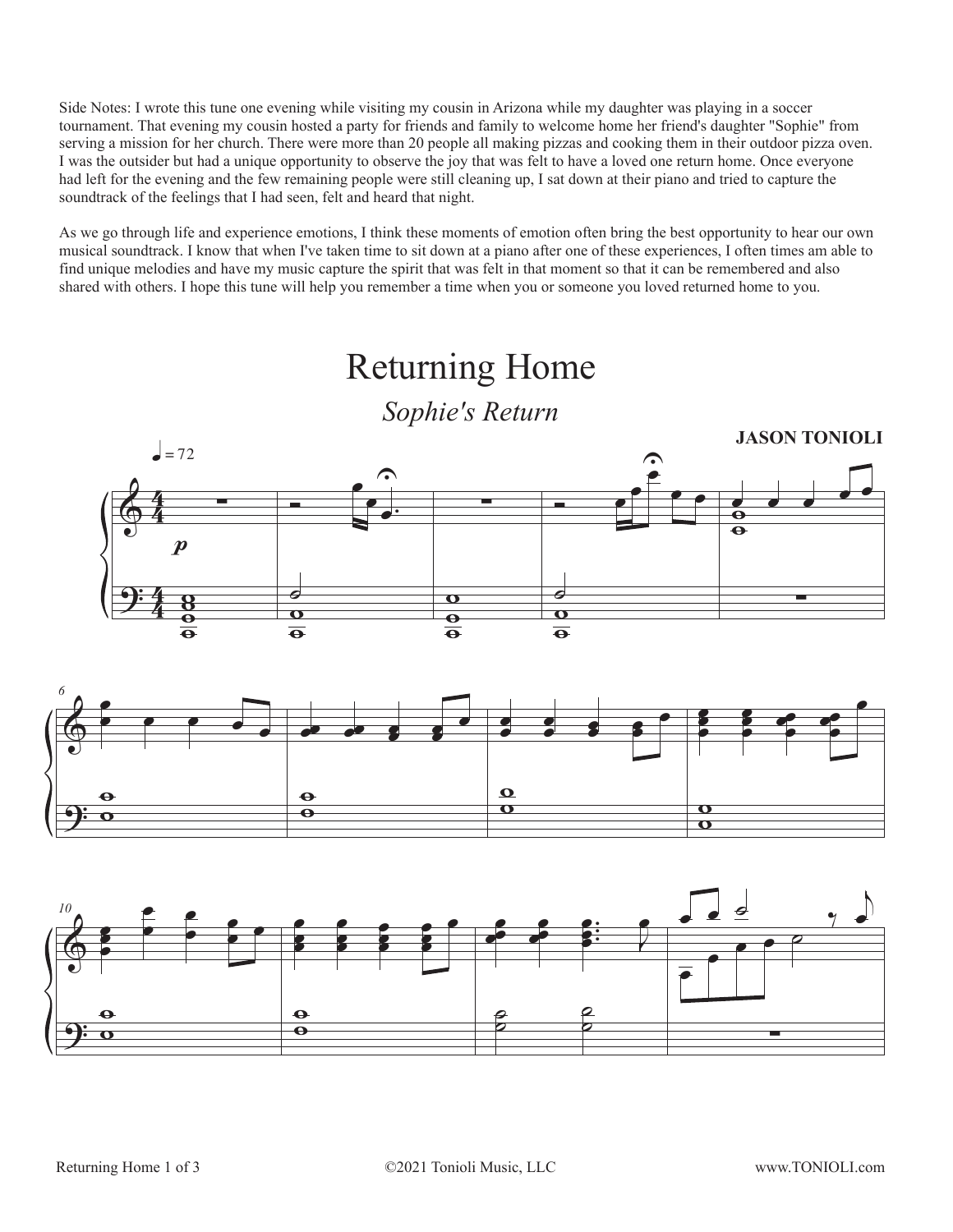Side Notes: I wrote this tune one evening while visiting my cousin in Arizona while my daughter was playing in a soccer tournament. That evening my cousin hosted a party for friends and family to welcome home her friend's daughter "Sophie" from serving a mission for her church. There were more than 20 people all making pizzas and cooking them in their outdoor pizza oven. I was the outsider but had a unique opportunity to observe the joy that was felt to have a loved one return home. Once everyone had left for the evening and the few remaining people were still cleaning up, I sat down at their piano and tried to capture the soundtrack of the feelings that I had seen, felt and heard that night.

As we go through life and experience emotions, I think these moments of emotion often bring the best opportunity to hear our own musical soundtrack. I know that when I've taken time to sit down at a piano after one of these experiences, I often times am able to find unique melodies and have my music capture the spirit that was felt in that moment so that it can be remembered and also shared with others. I hope this tune will help you remember a time when you or someone you loved returned home to you.

## Returning Home

 $\bm{\bm{\phi}}$  $\overline{\mathbf{P}}$ 4 4 4 4 ∑  $\frac{8}{2}$  $\frac{6}{\Omega}$  $\frac{\Theta}{\Theta}$  $= 72$ p  $\equiv$ œ œ.  $\hat{\mathbf{C}}$  $\overline{\bullet}$  $\frac{8}{10}$  $\frac{6}{10}$ ∑  $\overline{\mathbf{O}}$  $\bullet$  $\overline{\bullet}$  $\overline{\phantom{a}}$ œ œ  $\hat{\mathbf{C}}$ œ œ  $\overline{\bullet}$  $\frac{8}{10}$  $\frac{6}{9}$  $\frac{1}{2}$   $\frac{1}{2}$   $\frac{1}{2}$  $\frac{1}{\mathbf{\Theta}}$  $\frac{\mathbf{\Theta}}{\mathbf{\Theta}}$ ∑ **JASON TONIOLI**





*Sophie's Return*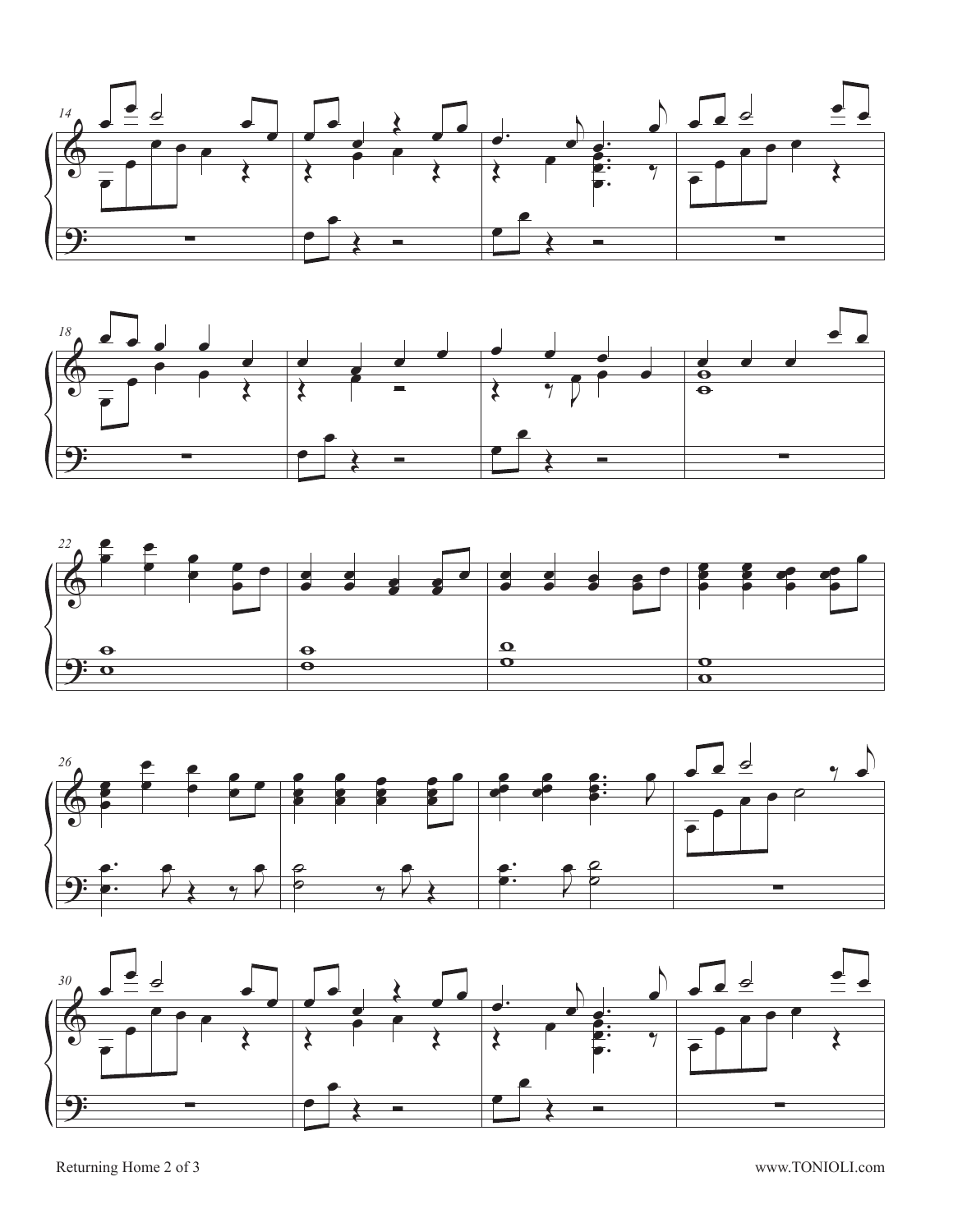